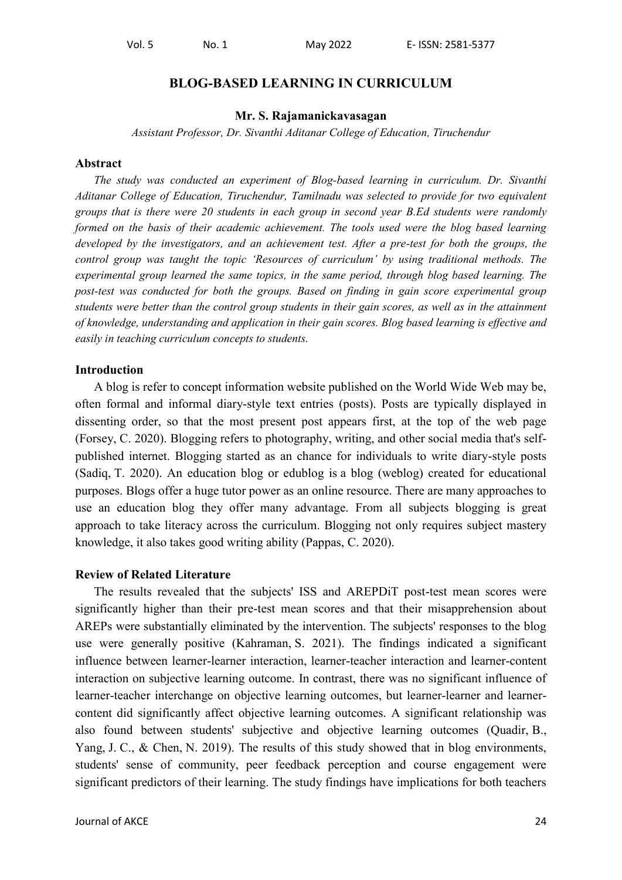### **BLOG-BASED LEARNING IN CURRICULUM**

#### **Mr. S. Rajamanickavasagan**

*Assistant Professor, Dr. Sivanthi Aditanar College of Education, Tiruchendur*

#### **Abstract**

*The study was conducted an experiment of Blog-based learning in curriculum. Dr. Sivanthi Aditanar College of Education, Tiruchendur, Tamilnadu was selected to provide for two equivalent groups that is there were 20 students in each group in second year B.Ed students were randomly formed on the basis of their academic achievement. The tools used were the blog based learning developed by the investigators, and an achievement test. After a pre-test for both the groups, the control group was taught the topic 'Resources of curriculum' by using traditional methods. The experimental group learned the same topics, in the same period, through blog based learning. The post-test was conducted for both the groups. Based on finding in gain score experimental group students were better than the control group students in their gain scores, as well as in the attainment of knowledge, understanding and application in their gain scores. Blog based learning is effective and easily in teaching curriculum concepts to students.*

#### **Introduction**

A blog is refer to concept information website published on the World Wide Web may be, often formal and informal diary-style text entries (posts). Posts are typically displayed in dissenting order, so that the most present post appears first, at the top of the web page (Forsey, C. 2020). Blogging refers to photography, writing, and other social media that's selfpublished internet. Blogging started as an chance for individuals to write diary-style posts (Sadiq, T. 2020). An education blog or edublog is a blog (weblog) created for educational purposes. Blogs offer a huge tutor power as an online resource. There are many approaches to use an education blog they offer many advantage. From all subjects blogging is great approach to take literacy across the curriculum. Blogging not only requires subject mastery knowledge, it also takes good writing ability (Pappas, C. 2020).

#### **Review of Related Literature**

The results revealed that the subjects' ISS and AREPDiT post-test mean scores were significantly higher than their pre-test mean scores and that their misapprehension about AREPs were substantially eliminated by the intervention. The subjects' responses to the blog use were generally positive (Kahraman, S. 2021). The findings indicated a significant influence between learner-learner interaction, learner-teacher interaction and learner-content interaction on subjective learning outcome. In contrast, there was no significant influence of learner-teacher interchange on objective learning outcomes, but learner-learner and learnercontent did significantly affect objective learning outcomes. A significant relationship was also found between students' subjective and objective learning outcomes (Quadir, B., Yang, J. C., & Chen, N. 2019). The results of this study showed that in blog environments, students' sense of community, peer feedback perception and course engagement were significant predictors of their learning. The study findings have implications for both teachers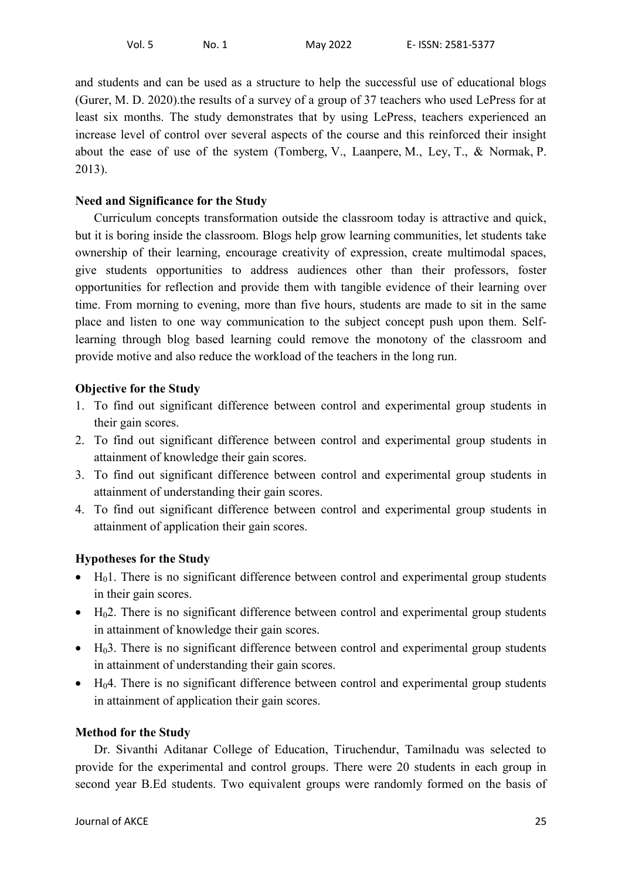and students and can be used as a structure to help the successful use of educational blogs (Gurer, M. D. 2020).the results of a survey of a group of 37 teachers who used LePress for at least six months. The study demonstrates that by using LePress, teachers experienced an increase level of control over several aspects of the course and this reinforced their insight about the ease of use of the system (Tomberg, V., Laanpere, M., Ley, T., & Normak, P. 2013).

## **Need and Significance for the Study**

Curriculum concepts transformation outside the classroom today is attractive and quick, but it is boring inside the classroom. Blogs help grow learning communities, let students take ownership of their learning, encourage creativity of expression, create multimodal spaces, give students opportunities to address audiences other than their professors, foster opportunities for reflection and provide them with tangible evidence of their learning over time. From morning to evening, more than five hours, students are made to sit in the same place and listen to one way communication to the subject concept push upon them. Selflearning through blog based learning could remove the monotony of the classroom and provide motive and also reduce the workload of the teachers in the long run.

## **Objective for the Study**

- 1. To find out significant difference between control and experimental group students in their gain scores.
- 2. To find out significant difference between control and experimental group students in attainment of knowledge their gain scores.
- 3. To find out significant difference between control and experimental group students in attainment of understanding their gain scores.
- 4. To find out significant difference between control and experimental group students in attainment of application their gain scores.

# **Hypotheses for the Study**

- $\bullet$  H<sub>0</sub>1. There is no significant difference between control and experimental group students in their gain scores.
- $\bullet$  H<sub>0</sub>2. There is no significant difference between control and experimental group students in attainment of knowledge their gain scores.
- $\bullet$  H<sub>0</sub>3. There is no significant difference between control and experimental group students in attainment of understanding their gain scores.
- H<sub>0</sub>4. There is no significant difference between control and experimental group students in attainment of application their gain scores.

### **Method for the Study**

Dr. Sivanthi Aditanar College of Education, Tiruchendur, Tamilnadu was selected to provide for the experimental and control groups. There were 20 students in each group in second year B.Ed students. Two equivalent groups were randomly formed on the basis of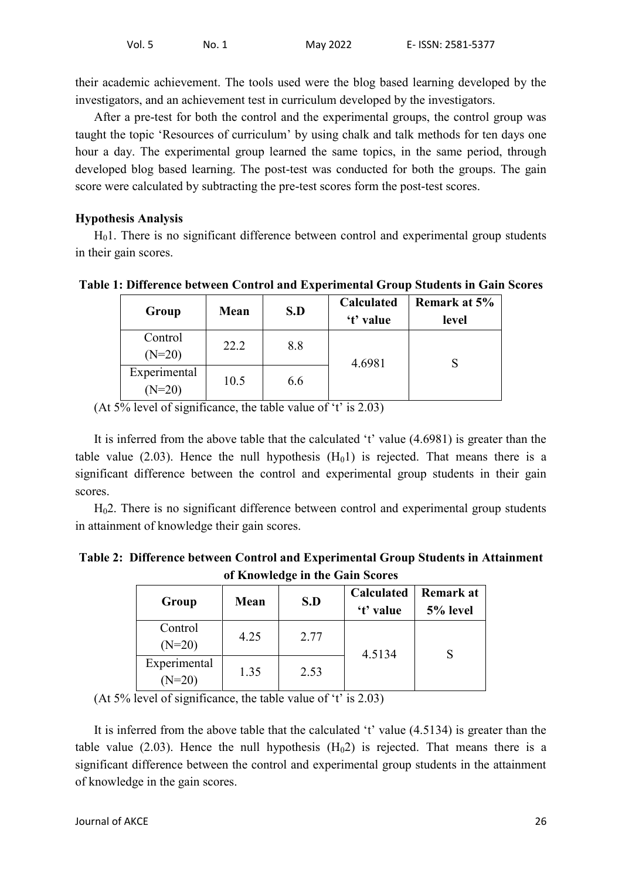their academic achievement. The tools used were the blog based learning developed by the investigators, and an achievement test in curriculum developed by the investigators.

After a pre-test for both the control and the experimental groups, the control group was taught the topic 'Resources of curriculum' by using chalk and talk methods for ten days one hour a day. The experimental group learned the same topics, in the same period, through developed blog based learning. The post-test was conducted for both the groups. The gain score were calculated by subtracting the pre-test scores form the post-test scores.

### **Hypothesis Analysis**

 $H<sub>0</sub>1$ . There is no significant difference between control and experimental group students in their gain scores.

**Table 1: Difference between Control and Experimental Group Students in Gain Scores**

| Group                    | Mean | S.D | Calculated<br>'t' value | <b>Remark at 5%</b><br>level |
|--------------------------|------|-----|-------------------------|------------------------------|
| Control<br>$(N=20)$      | 22.2 | 8.8 | 4.6981                  |                              |
| Experimental<br>$(N=20)$ | 10.5 | 6.6 |                         |                              |

(At  $5\%$  level of significance, the table value of 't' is 2.03)

It is inferred from the above table that the calculated 't' value (4.6981) is greater than the table value (2.03). Hence the null hypothesis  $(H<sub>0</sub>1)$  is rejected. That means there is a significant difference between the control and experimental group students in their gain scores.

H02. There is no significant difference between control and experimental group students in attainment of knowledge their gain scores.

**Table 2: Difference between Control and Experimental Group Students in Attainment of Knowledge in the Gain Scores**

| Group                    | Mean | S.D  | Calculated<br>'t' value | Remark at<br>5% level |
|--------------------------|------|------|-------------------------|-----------------------|
| Control<br>$(N=20)$      | 4.25 | 2.77 | 4.5134                  |                       |
| Experimental<br>$(N=20)$ | 1.35 | 2.53 |                         |                       |

(At 5% level of significance, the table value of 't' is  $2.03$ )

It is inferred from the above table that the calculated 't' value (4.5134) is greater than the table value (2.03). Hence the null hypothesis  $(H<sub>0</sub>2)$  is rejected. That means there is a significant difference between the control and experimental group students in the attainment of knowledge in the gain scores.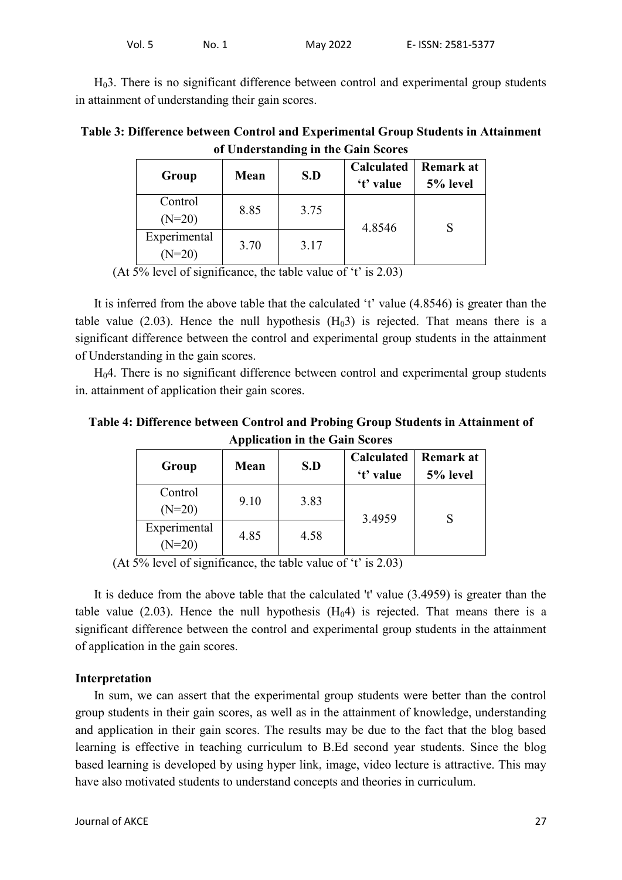H03. There is no significant difference between control and experimental group students in attainment of understanding their gain scores.

**Table 3: Difference between Control and Experimental Group Students in Attainment of Understanding in the Gain Scores**

| Group                    | Mean | S.D  | <b>Calculated</b><br>'t' value | Remark at<br>5% level |
|--------------------------|------|------|--------------------------------|-----------------------|
| Control<br>$(N=20)$      | 8.85 | 3.75 | 4.8546                         |                       |
| Experimental<br>$(N=20)$ | 3.70 | 3.17 |                                |                       |

(At 5% level of significance, the table value of 't' is 2.03)

It is inferred from the above table that the calculated 't' value (4.8546) is greater than the table value (2.03). Hence the null hypothesis  $(H<sub>0</sub>3)$  is rejected. That means there is a significant difference between the control and experimental group students in the attainment of Understanding in the gain scores.

H04. There is no significant difference between control and experimental group students in. attainment of application their gain scores.

**Table 4: Difference between Control and Probing Group Students in Attainment of Application in the Gain Scores**

| Group                    | Mean | S.D  | Calculated<br>'t' value | <b>Remark at</b><br>5% level |
|--------------------------|------|------|-------------------------|------------------------------|
| Control<br>$(N=20)$      | 9.10 | 3.83 | 3.4959                  |                              |
| Experimental<br>$(N=20)$ | 4.85 | 4.58 |                         |                              |

(At  $5\%$  level of significance, the table value of 't' is 2.03)

It is deduce from the above table that the calculated 't' value (3.4959) is greater than the table value (2.03). Hence the null hypothesis  $(H<sub>0</sub>4)$  is rejected. That means there is a significant difference between the control and experimental group students in the attainment of application in the gain scores.

### **Interpretation**

In sum, we can assert that the experimental group students were better than the control group students in their gain scores, as well as in the attainment of knowledge, understanding and application in their gain scores. The results may be due to the fact that the blog based learning is effective in teaching curriculum to B.Ed second year students. Since the blog based learning is developed by using hyper link, image, video lecture is attractive. This may have also motivated students to understand concepts and theories in curriculum.